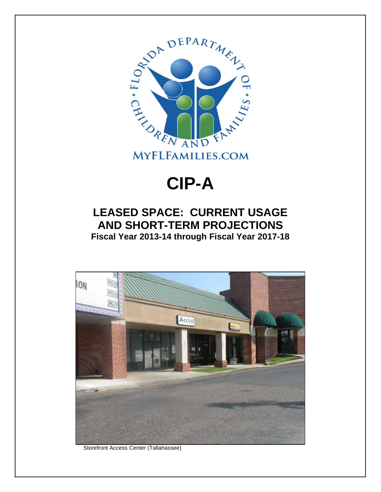

# **CIP-A**

## **LEASED SPACE: CURRENT USAGE AND SHORT-TERM PROJECTIONS Fiscal Year 2013-14 through Fiscal Year 2017-18**



Storefront Access Center (Tallahassee)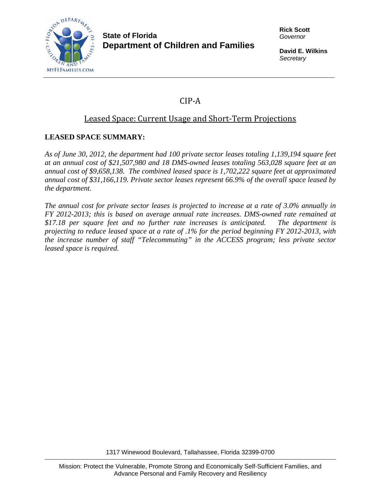

#### **State of Florida Department of Children and Families**

**Rick Scott**  *Governor* 

**David E. Wilkins**  *Secretary* 

## CIP‐A

### Leased Space: Current Usage and Short‐Term Projections

#### **LEASED SPACE SUMMARY:**

*As of June 30, 2012, the department had 100 private sector leases totaling 1,139,194 square feet at an annual cost of \$21,507,980 and 18 DMS-owned leases totaling 563,028 square feet at an annual cost of \$9,658,138. The combined leased space is 1,702,222 square feet at approximated annual cost of \$31,166,119. Private sector leases represent 66.9% of the overall space leased by the department.* 

*The annual cost for private sector leases is projected to increase at a rate of 3.0% annually in FY 2012-2013; this is based on average annual rate increases. DMS-owned rate remained at \$17.18 per square feet and no further rate increases is anticipated. The department is projecting to reduce leased space at a rate of .1% for the period beginning FY 2012-2013, with the increase number of staff "Telecommuting" in the ACCESS program; less private sector leased space is required.* 

1317 Winewood Boulevard, Tallahassee, Florida 32399-0700